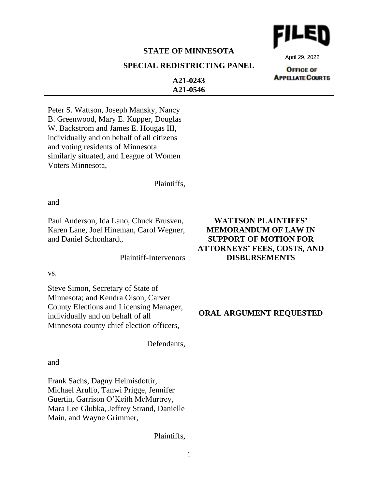

## **STATE OF MINNESOTA**

### **SPECIAL REDISTRICTING PANEL**

April 29, 2022

**OFFICE OF APPELIATE COURTS** 

**A21-0243 A21-0546**

Peter S. Wattson, Joseph Mansky, Nancy B. Greenwood, Mary E. Kupper, Douglas W. Backstrom and James E. Hougas III, individually and on behalf of all citizens and voting residents of Minnesota similarly situated, and League of Women Voters Minnesota,

Plaintiffs,

and

Paul Anderson, Ida Lano, Chuck Brusven, Karen Lane, Joel Hineman, Carol Wegner, and Daniel Schonhardt,

Plaintiff-Intervenors

vs.

Steve Simon, Secretary of State of Minnesota; and Kendra Olson, Carver County Elections and Licensing Manager, individually and on behalf of all Minnesota county chief election officers,

Defendants,

and

Frank Sachs, Dagny Heimisdottir, Michael Arulfo, Tanwi Prigge, Jennifer Guertin, Garrison O'Keith McMurtrey, Mara Lee Glubka, Jeffrey Strand, Danielle Main, and Wayne Grimmer,

Plaintiffs,

# **WATTSON PLAINTIFFS' MEMORANDUM OF LAW IN SUPPORT OF MOTION FOR ATTORNEYS' FEES, COSTS, AND DISBURSEMENTS**

**ORAL ARGUMENT REQUESTED**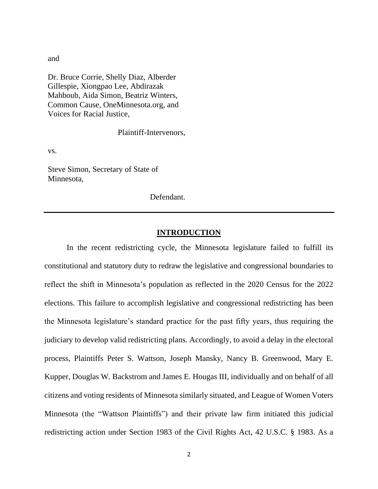and

Dr. Bruce Corrie, Shelly Diaz, Alberder Gillespie, Xiongpao Lee, Abdirazak Mahboub, Aida Simon, Beatriz Winters, Common Cause, OneMinnesota.org, and Voices for Racial Justice,

Plaintiff-Intervenors,

vs.

Steve Simon, Secretary of State of Minnesota,

Defendant.

### **INTRODUCTION**

In the recent redistricting cycle, the Minnesota legislature failed to fulfill its constitutional and statutory duty to redraw the legislative and congressional boundaries to reflect the shift in Minnesota's population as reflected in the 2020 Census for the 2022 elections. This failure to accomplish legislative and congressional redistricting has been the Minnesota legislature's standard practice for the past fifty years, thus requiring the judiciary to develop valid redistricting plans. Accordingly, to avoid a delay in the electoral process, Plaintiffs Peter S. Wattson, Joseph Mansky, Nancy B. Greenwood, Mary E. Kupper, Douglas W. Backstrom and James E. Hougas III, individually and on behalf of all citizens and voting residents of Minnesota similarly situated, and League of Women Voters Minnesota (the "Wattson Plaintiffs") and their private law firm initiated this judicial redistricting action under Section 1983 of the Civil Rights Act, 42 U.S.C. § 1983. As a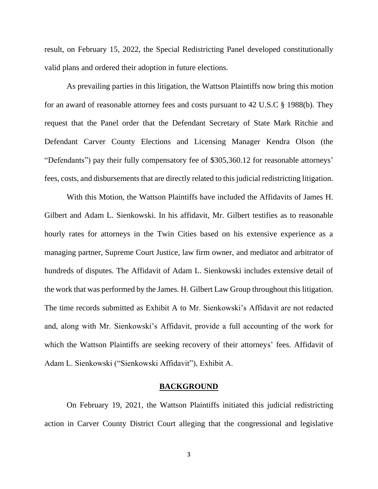result, on February 15, 2022, the Special Redistricting Panel developed constitutionally valid plans and ordered their adoption in future elections.

As prevailing parties in this litigation, the Wattson Plaintiffs now bring this motion for an award of reasonable attorney fees and costs pursuant to 42 U.S.C § 1988(b). They request that the Panel order that the Defendant Secretary of State Mark Ritchie and Defendant Carver County Elections and Licensing Manager Kendra Olson (the "Defendants") pay their fully compensatory fee of \$305,360.12 for reasonable attorneys' fees, costs, and disbursements that are directly related to this judicial redistricting litigation.

With this Motion, the Wattson Plaintiffs have included the Affidavits of James H. Gilbert and Adam L. Sienkowski. In his affidavit, Mr. Gilbert testifies as to reasonable hourly rates for attorneys in the Twin Cities based on his extensive experience as a managing partner, Supreme Court Justice, law firm owner, and mediator and arbitrator of hundreds of disputes. The Affidavit of Adam L. Sienkowski includes extensive detail of the work that was performed by the James. H. Gilbert Law Group throughout this litigation. The time records submitted as Exhibit A to Mr. Sienkowski's Affidavit are not redacted and, along with Mr. Sienkowski's Affidavit, provide a full accounting of the work for which the Wattson Plaintiffs are seeking recovery of their attorneys' fees. Affidavit of Adam L. Sienkowski ("Sienkowski Affidavit"), Exhibit A.

#### **BACKGROUND**

On February 19, 2021, the Wattson Plaintiffs initiated this judicial redistricting action in Carver County District Court alleging that the congressional and legislative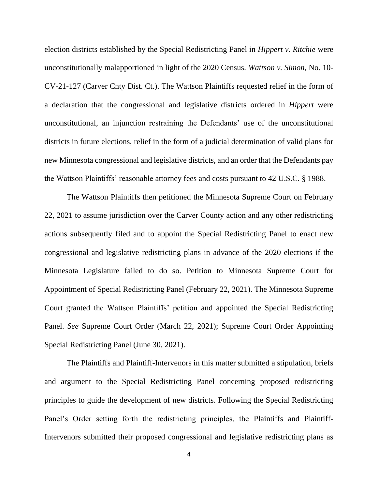election districts established by the Special Redistricting Panel in *Hippert v. Ritchie* were unconstitutionally malapportioned in light of the 2020 Census. *Wattson v. Simon*, No. 10- CV-21-127 (Carver Cnty Dist. Ct.). The Wattson Plaintiffs requested relief in the form of a declaration that the congressional and legislative districts ordered in *Hippert* were unconstitutional, an injunction restraining the Defendants' use of the unconstitutional districts in future elections, relief in the form of a judicial determination of valid plans for new Minnesota congressional and legislative districts, and an order that the Defendants pay the Wattson Plaintiffs' reasonable attorney fees and costs pursuant to 42 U.S.C. § 1988.

The Wattson Plaintiffs then petitioned the Minnesota Supreme Court on February 22, 2021 to assume jurisdiction over the Carver County action and any other redistricting actions subsequently filed and to appoint the Special Redistricting Panel to enact new congressional and legislative redistricting plans in advance of the 2020 elections if the Minnesota Legislature failed to do so. Petition to Minnesota Supreme Court for Appointment of Special Redistricting Panel (February 22, 2021). The Minnesota Supreme Court granted the Wattson Plaintiffs' petition and appointed the Special Redistricting Panel. *See* Supreme Court Order (March 22, 2021); Supreme Court Order Appointing Special Redistricting Panel (June 30, 2021).

The Plaintiffs and Plaintiff-Intervenors in this matter submitted a stipulation, briefs and argument to the Special Redistricting Panel concerning proposed redistricting principles to guide the development of new districts. Following the Special Redistricting Panel's Order setting forth the redistricting principles, the Plaintiffs and Plaintiff-Intervenors submitted their proposed congressional and legislative redistricting plans as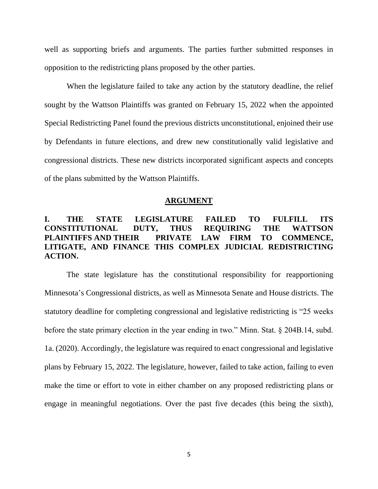well as supporting briefs and arguments. The parties further submitted responses in opposition to the redistricting plans proposed by the other parties.

When the legislature failed to take any action by the statutory deadline, the relief sought by the Wattson Plaintiffs was granted on February 15, 2022 when the appointed Special Redistricting Panel found the previous districts unconstitutional, enjoined their use by Defendants in future elections, and drew new constitutionally valid legislative and congressional districts. These new districts incorporated significant aspects and concepts of the plans submitted by the Wattson Plaintiffs.

#### **ARGUMENT**

## **I. THE STATE LEGISLATURE FAILED TO FULFILL ITS CONSTITUTIONAL DUTY, THUS REQUIRING THE WATTSON PLAINTIFFS AND THEIR PRIVATE LAW FIRM TO COMMENCE, LITIGATE, AND FINANCE THIS COMPLEX JUDICIAL REDISTRICTING ACTION.**

The state legislature has the constitutional responsibility for reapportioning Minnesota's Congressional districts, as well as Minnesota Senate and House districts. The statutory deadline for completing congressional and legislative redistricting is "25 weeks before the state primary election in the year ending in two." Minn. Stat. § 204B.14, subd. 1a. (2020). Accordingly, the legislature was required to enact congressional and legislative plans by February 15, 2022. The legislature, however, failed to take action, failing to even make the time or effort to vote in either chamber on any proposed redistricting plans or engage in meaningful negotiations. Over the past five decades (this being the sixth),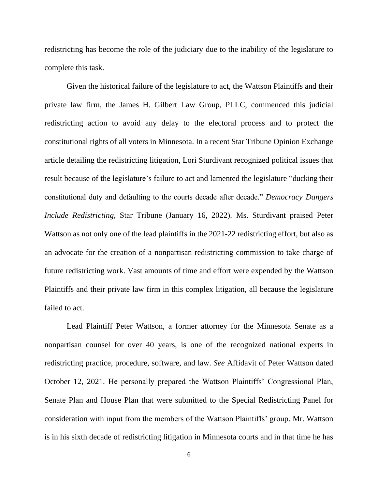redistricting has become the role of the judiciary due to the inability of the legislature to complete this task.

Given the historical failure of the legislature to act, the Wattson Plaintiffs and their private law firm, the James H. Gilbert Law Group, PLLC, commenced this judicial redistricting action to avoid any delay to the electoral process and to protect the constitutional rights of all voters in Minnesota. In a recent Star Tribune Opinion Exchange article detailing the redistricting litigation, Lori Sturdivant recognized political issues that result because of the legislature's failure to act and lamented the legislature "ducking their constitutional duty and defaulting to the courts decade after decade." *Democracy Dangers Include Redistricting*, Star Tribune (January 16, 2022). Ms. Sturdivant praised Peter Wattson as not only one of the lead plaintiffs in the 2021-22 redistricting effort, but also as an advocate for the creation of a nonpartisan redistricting commission to take charge of future redistricting work. Vast amounts of time and effort were expended by the Wattson Plaintiffs and their private law firm in this complex litigation, all because the legislature failed to act.

Lead Plaintiff Peter Wattson, a former attorney for the Minnesota Senate as a nonpartisan counsel for over 40 years, is one of the recognized national experts in redistricting practice, procedure, software, and law. *See* Affidavit of Peter Wattson dated October 12, 2021. He personally prepared the Wattson Plaintiffs' Congressional Plan, Senate Plan and House Plan that were submitted to the Special Redistricting Panel for consideration with input from the members of the Wattson Plaintiffs' group. Mr. Wattson is in his sixth decade of redistricting litigation in Minnesota courts and in that time he has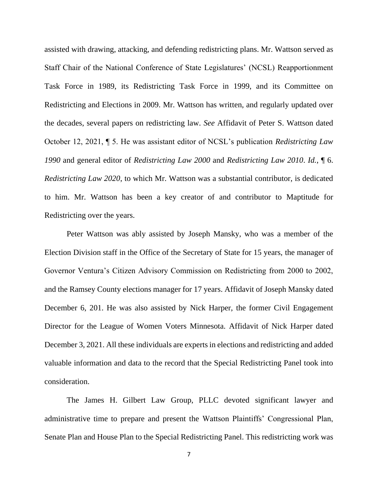assisted with drawing, attacking, and defending redistricting plans. Mr. Wattson served as Staff Chair of the National Conference of State Legislatures' (NCSL) Reapportionment Task Force in 1989, its Redistricting Task Force in 1999, and its Committee on Redistricting and Elections in 2009. Mr. Wattson has written, and regularly updated over the decades, several papers on redistricting law. *See* Affidavit of Peter S. Wattson dated October 12, 2021, ¶ 5. He was assistant editor of NCSL's publication *Redistricting Law 1990* and general editor of *Redistricting Law 2000* and *Redistricting Law 2010*. *Id.*, ¶ 6. *Redistricting Law 2020*, to which Mr. Wattson was a substantial contributor, is dedicated to him. Mr. Wattson has been a key creator of and contributor to Maptitude for Redistricting over the years.

Peter Wattson was ably assisted by Joseph Mansky, who was a member of the Election Division staff in the Office of the Secretary of State for 15 years, the manager of Governor Ventura's Citizen Advisory Commission on Redistricting from 2000 to 2002, and the Ramsey County elections manager for 17 years. Affidavit of Joseph Mansky dated December 6, 201. He was also assisted by Nick Harper, the former Civil Engagement Director for the League of Women Voters Minnesota. Affidavit of Nick Harper dated December 3, 2021. All these individuals are experts in elections and redistricting and added valuable information and data to the record that the Special Redistricting Panel took into consideration.

The James H. Gilbert Law Group, PLLC devoted significant lawyer and administrative time to prepare and present the Wattson Plaintiffs' Congressional Plan, Senate Plan and House Plan to the Special Redistricting Panel. This redistricting work was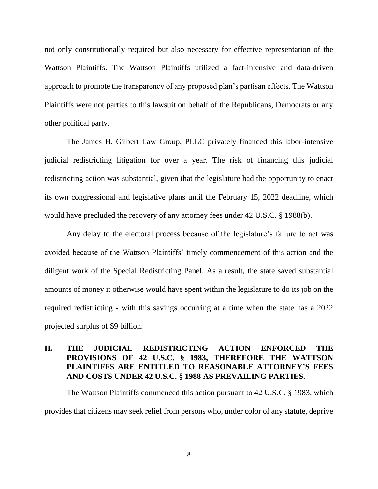not only constitutionally required but also necessary for effective representation of the Wattson Plaintiffs. The Wattson Plaintiffs utilized a fact-intensive and data-driven approach to promote the transparency of any proposed plan's partisan effects. The Wattson Plaintiffs were not parties to this lawsuit on behalf of the Republicans, Democrats or any other political party.

The James H. Gilbert Law Group, PLLC privately financed this labor-intensive judicial redistricting litigation for over a year. The risk of financing this judicial redistricting action was substantial, given that the legislature had the opportunity to enact its own congressional and legislative plans until the February 15, 2022 deadline, which would have precluded the recovery of any attorney fees under 42 U.S.C. § 1988(b).

Any delay to the electoral process because of the legislature's failure to act was avoided because of the Wattson Plaintiffs' timely commencement of this action and the diligent work of the Special Redistricting Panel. As a result, the state saved substantial amounts of money it otherwise would have spent within the legislature to do its job on the required redistricting - with this savings occurring at a time when the state has a 2022 projected surplus of \$9 billion.

## **II. THE JUDICIAL REDISTRICTING ACTION ENFORCED THE PROVISIONS OF 42 U.S.C. § 1983, THEREFORE THE WATTSON PLAINTIFFS ARE ENTITLED TO REASONABLE ATTORNEY'S FEES AND COSTS UNDER 42 U.S.C. § 1988 AS PREVAILING PARTIES.**

The Wattson Plaintiffs commenced this action pursuant to 42 U.S.C. § 1983, which provides that citizens may seek relief from persons who, under color of any statute, deprive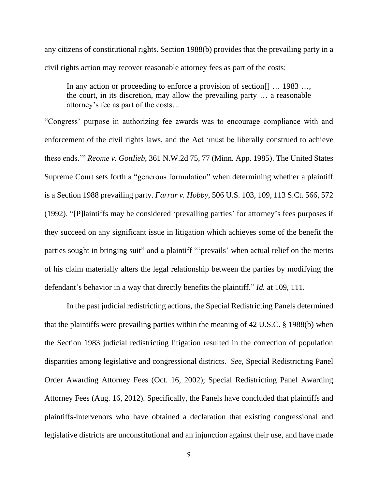any citizens of constitutional rights. Section 1988(b) provides that the prevailing party in a civil rights action may recover reasonable attorney fees as part of the costs:

In any action or proceeding to enforce a provision of section... 1983 ... the court, in its discretion, may allow the prevailing party … a reasonable attorney's fee as part of the costs…

"Congress' purpose in authorizing fee awards was to encourage compliance with and enforcement of the civil rights laws, and the Act 'must be liberally construed to achieve these ends.'" *Reome v. Gottlieb*, 361 N.W.2d 75, 77 (Minn. App. 1985). The United States Supreme Court sets forth a "generous formulation" when determining whether a plaintiff is a Section 1988 prevailing party. *Farrar v. Hobby*, 506 U.S. 103, 109, 113 S.Ct. 566, 572 (1992). "[P]laintiffs may be considered 'prevailing parties' for attorney's fees purposes if they succeed on any significant issue in litigation which achieves some of the benefit the parties sought in bringing suit" and a plaintiff "'prevails' when actual relief on the merits of his claim materially alters the legal relationship between the parties by modifying the defendant's behavior in a way that directly benefits the plaintiff." *Id.* at 109, 111.

In the past judicial redistricting actions, the Special Redistricting Panels determined that the plaintiffs were prevailing parties within the meaning of 42 U.S.C. § 1988(b) when the Section 1983 judicial redistricting litigation resulted in the correction of population disparities among legislative and congressional districts. *See*, Special Redistricting Panel Order Awarding Attorney Fees (Oct. 16, 2002); Special Redistricting Panel Awarding Attorney Fees (Aug. 16, 2012). Specifically, the Panels have concluded that plaintiffs and plaintiffs-intervenors who have obtained a declaration that existing congressional and legislative districts are unconstitutional and an injunction against their use, and have made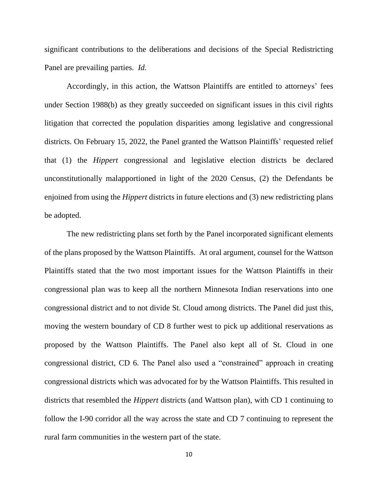significant contributions to the deliberations and decisions of the Special Redistricting Panel are prevailing parties. *Id.*

Accordingly, in this action, the Wattson Plaintiffs are entitled to attorneys' fees under Section 1988(b) as they greatly succeeded on significant issues in this civil rights litigation that corrected the population disparities among legislative and congressional districts. On February 15, 2022, the Panel granted the Wattson Plaintiffs' requested relief that (1) the *Hippert* congressional and legislative election districts be declared unconstitutionally malapportioned in light of the 2020 Census, (2) the Defendants be enjoined from using the *Hippert* districts in future elections and (3) new redistricting plans be adopted.

The new redistricting plans set forth by the Panel incorporated significant elements of the plans proposed by the Wattson Plaintiffs. At oral argument, counsel for the Wattson Plaintiffs stated that the two most important issues for the Wattson Plaintiffs in their congressional plan was to keep all the northern Minnesota Indian reservations into one congressional district and to not divide St. Cloud among districts. The Panel did just this, moving the western boundary of CD 8 further west to pick up additional reservations as proposed by the Wattson Plaintiffs. The Panel also kept all of St. Cloud in one congressional district, CD 6. The Panel also used a "constrained" approach in creating congressional districts which was advocated for by the Wattson Plaintiffs. This resulted in districts that resembled the *Hippert* districts (and Wattson plan), with CD 1 continuing to follow the I-90 corridor all the way across the state and CD 7 continuing to represent the rural farm communities in the western part of the state.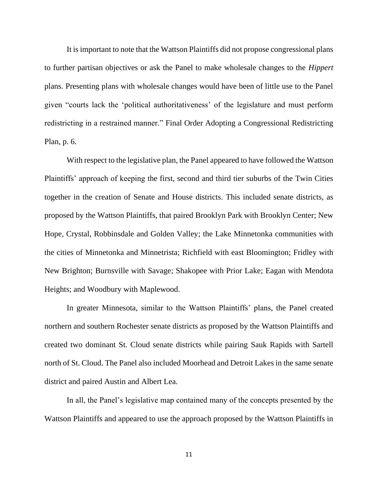It is important to note that the Wattson Plaintiffs did not propose congressional plans to further partisan objectives or ask the Panel to make wholesale changes to the *Hippert*  plans. Presenting plans with wholesale changes would have been of little use to the Panel given "courts lack the 'political authoritativeness' of the legislature and must perform redistricting in a restrained manner." Final Order Adopting a Congressional Redistricting Plan, p. 6.

With respect to the legislative plan, the Panel appeared to have followed the Wattson Plaintiffs' approach of keeping the first, second and third tier suburbs of the Twin Cities together in the creation of Senate and House districts. This included senate districts, as proposed by the Wattson Plaintiffs, that paired Brooklyn Park with Brooklyn Center; New Hope, Crystal, Robbinsdale and Golden Valley; the Lake Minnetonka communities with the cities of Minnetonka and Minnetrista; Richfield with east Bloomington; Fridley with New Brighton; Burnsville with Savage; Shakopee with Prior Lake; Eagan with Mendota Heights; and Woodbury with Maplewood.

In greater Minnesota, similar to the Wattson Plaintiffs' plans, the Panel created northern and southern Rochester senate districts as proposed by the Wattson Plaintiffs and created two dominant St. Cloud senate districts while pairing Sauk Rapids with Sartell north of St. Cloud. The Panel also included Moorhead and Detroit Lakes in the same senate district and paired Austin and Albert Lea.

In all, the Panel's legislative map contained many of the concepts presented by the Wattson Plaintiffs and appeared to use the approach proposed by the Wattson Plaintiffs in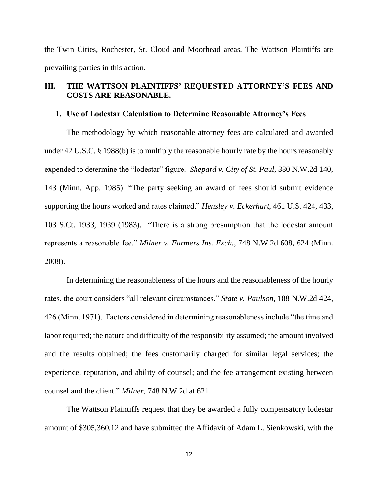the Twin Cities, Rochester, St. Cloud and Moorhead areas. The Wattson Plaintiffs are prevailing parties in this action.

## **III. THE WATTSON PLAINTIFFS' REQUESTED ATTORNEY'S FEES AND COSTS ARE REASONABLE.**

### **1. Use of Lodestar Calculation to Determine Reasonable Attorney's Fees**

The methodology by which reasonable attorney fees are calculated and awarded under 42 U.S.C. § 1988(b) is to multiply the reasonable hourly rate by the hours reasonably expended to determine the "lodestar" figure. *Shepard v. City of St. Paul*, 380 N.W.2d 140, 143 (Minn. App. 1985). "The party seeking an award of fees should submit evidence supporting the hours worked and rates claimed." *Hensley v. Eckerhart*, 461 U.S. 424, 433, 103 S.Ct. 1933, 1939 (1983). "There is a strong presumption that the lodestar amount represents a reasonable fee." *Milner v. Farmers Ins. Exch.*, 748 N.W.2d 608, 624 (Minn. 2008).

In determining the reasonableness of the hours and the reasonableness of the hourly rates, the court considers "all relevant circumstances." *State v. Paulson*, 188 N.W.2d 424, 426 (Minn. 1971). Factors considered in determining reasonableness include "the time and labor required; the nature and difficulty of the responsibility assumed; the amount involved and the results obtained; the fees customarily charged for similar legal services; the experience, reputation, and ability of counsel; and the fee arrangement existing between counsel and the client." *Milner*, 748 N.W.2d at 621.

The Wattson Plaintiffs request that they be awarded a fully compensatory lodestar amount of \$305,360.12 and have submitted the Affidavit of Adam L. Sienkowski, with the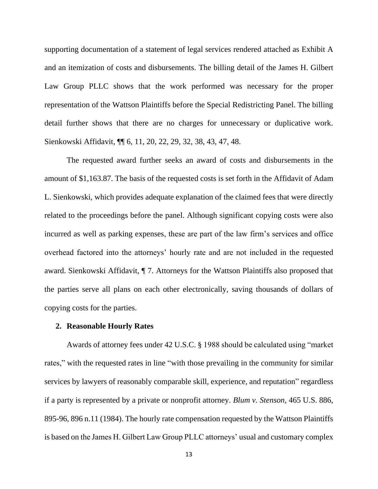supporting documentation of a statement of legal services rendered attached as Exhibit A and an itemization of costs and disbursements. The billing detail of the James H. Gilbert Law Group PLLC shows that the work performed was necessary for the proper representation of the Wattson Plaintiffs before the Special Redistricting Panel. The billing detail further shows that there are no charges for unnecessary or duplicative work. Sienkowski Affidavit, ¶¶ 6, 11, 20, 22, 29, 32, 38, 43, 47, 48.

The requested award further seeks an award of costs and disbursements in the amount of \$1,163.87. The basis of the requested costs is set forth in the Affidavit of Adam L. Sienkowski, which provides adequate explanation of the claimed fees that were directly related to the proceedings before the panel. Although significant copying costs were also incurred as well as parking expenses, these are part of the law firm's services and office overhead factored into the attorneys' hourly rate and are not included in the requested award. Sienkowski Affidavit, ¶ 7. Attorneys for the Wattson Plaintiffs also proposed that the parties serve all plans on each other electronically, saving thousands of dollars of copying costs for the parties.

### **2. Reasonable Hourly Rates**

Awards of attorney fees under 42 U.S.C. § 1988 should be calculated using "market rates," with the requested rates in line "with those prevailing in the community for similar services by lawyers of reasonably comparable skill, experience, and reputation" regardless if a party is represented by a private or nonprofit attorney. *Blum v. Stenson*, 465 U.S. 886, 895-96, 896 n.11 (1984). The hourly rate compensation requested by the Wattson Plaintiffs is based on the James H. Gilbert Law Group PLLC attorneys' usual and customary complex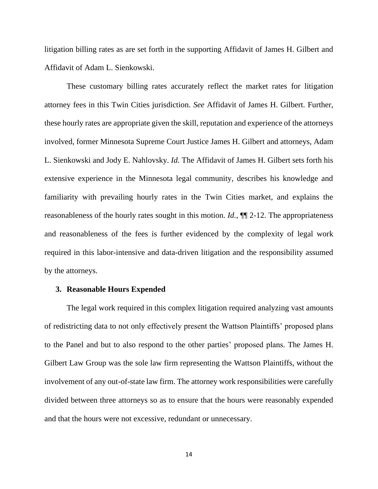litigation billing rates as are set forth in the supporting Affidavit of James H. Gilbert and Affidavit of Adam L. Sienkowski.

These customary billing rates accurately reflect the market rates for litigation attorney fees in this Twin Cities jurisdiction. *See* Affidavit of James H. Gilbert. Further, these hourly rates are appropriate given the skill, reputation and experience of the attorneys involved, former Minnesota Supreme Court Justice James H. Gilbert and attorneys, Adam L. Sienkowski and Jody E. Nahlovsky. *Id.* The Affidavit of James H. Gilbert sets forth his extensive experience in the Minnesota legal community, describes his knowledge and familiarity with prevailing hourly rates in the Twin Cities market, and explains the reasonableness of the hourly rates sought in this motion. *Id.*, ¶¶ 2-12. The appropriateness and reasonableness of the fees is further evidenced by the complexity of legal work required in this labor-intensive and data-driven litigation and the responsibility assumed by the attorneys.

### **3. Reasonable Hours Expended**

The legal work required in this complex litigation required analyzing vast amounts of redistricting data to not only effectively present the Wattson Plaintiffs' proposed plans to the Panel and but to also respond to the other parties' proposed plans. The James H. Gilbert Law Group was the sole law firm representing the Wattson Plaintiffs, without the involvement of any out-of-state law firm. The attorney work responsibilities were carefully divided between three attorneys so as to ensure that the hours were reasonably expended and that the hours were not excessive, redundant or unnecessary.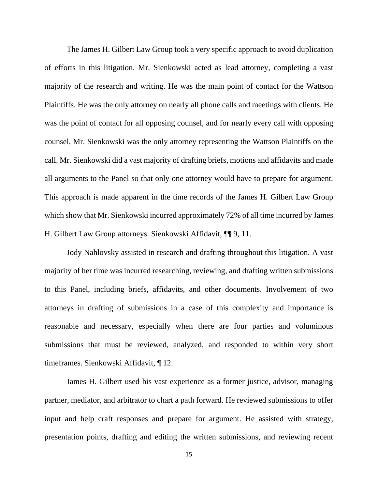The James H. Gilbert Law Group took a very specific approach to avoid duplication of efforts in this litigation. Mr. Sienkowski acted as lead attorney, completing a vast majority of the research and writing. He was the main point of contact for the Wattson Plaintiffs. He was the only attorney on nearly all phone calls and meetings with clients. He was the point of contact for all opposing counsel, and for nearly every call with opposing counsel, Mr. Sienkowski was the only attorney representing the Wattson Plaintiffs on the call. Mr. Sienkowski did a vast majority of drafting briefs, motions and affidavits and made all arguments to the Panel so that only one attorney would have to prepare for argument. This approach is made apparent in the time records of the James H. Gilbert Law Group which show that Mr. Sienkowski incurred approximately 72% of all time incurred by James H. Gilbert Law Group attorneys. Sienkowski Affidavit, ¶¶ 9, 11.

Jody Nahlovsky assisted in research and drafting throughout this litigation. A vast majority of her time was incurred researching, reviewing, and drafting written submissions to this Panel, including briefs, affidavits, and other documents. Involvement of two attorneys in drafting of submissions in a case of this complexity and importance is reasonable and necessary, especially when there are four parties and voluminous submissions that must be reviewed, analyzed, and responded to within very short timeframes. Sienkowski Affidavit, ¶ 12.

James H. Gilbert used his vast experience as a former justice, advisor, managing partner, mediator, and arbitrator to chart a path forward. He reviewed submissions to offer input and help craft responses and prepare for argument. He assisted with strategy, presentation points, drafting and editing the written submissions, and reviewing recent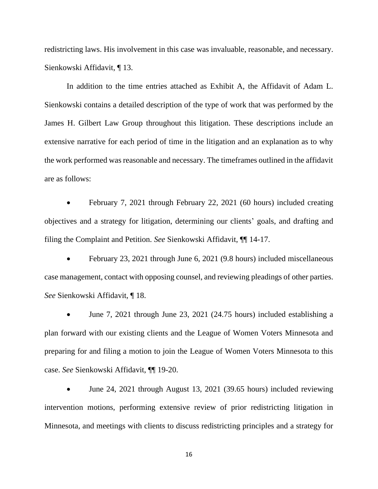redistricting laws. His involvement in this case was invaluable, reasonable, and necessary. Sienkowski Affidavit, ¶ 13.

In addition to the time entries attached as Exhibit A, the Affidavit of Adam L. Sienkowski contains a detailed description of the type of work that was performed by the James H. Gilbert Law Group throughout this litigation. These descriptions include an extensive narrative for each period of time in the litigation and an explanation as to why the work performed was reasonable and necessary. The timeframes outlined in the affidavit are as follows:

• February 7, 2021 through February 22, 2021 (60 hours) included creating objectives and a strategy for litigation, determining our clients' goals, and drafting and filing the Complaint and Petition. *See* Sienkowski Affidavit, ¶¶ 14-17.

• February 23, 2021 through June 6, 2021 (9.8 hours) included miscellaneous case management, contact with opposing counsel, and reviewing pleadings of other parties. *See* Sienkowski Affidavit, ¶ 18.

• June 7, 2021 through June 23, 2021 (24.75 hours) included establishing a plan forward with our existing clients and the League of Women Voters Minnesota and preparing for and filing a motion to join the League of Women Voters Minnesota to this case. *See* Sienkowski Affidavit, ¶¶ 19-20.

• June 24, 2021 through August 13, 2021 (39.65 hours) included reviewing intervention motions, performing extensive review of prior redistricting litigation in Minnesota, and meetings with clients to discuss redistricting principles and a strategy for

16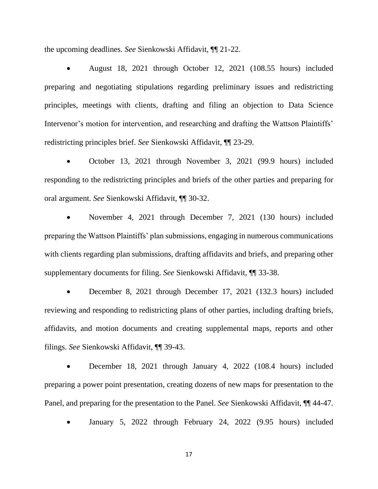the upcoming deadlines. *See* Sienkowski Affidavit, ¶¶ 21-22.

• August 18, 2021 through October 12, 2021 (108.55 hours) included preparing and negotiating stipulations regarding preliminary issues and redistricting principles, meetings with clients, drafting and filing an objection to Data Science Intervenor's motion for intervention, and researching and drafting the Wattson Plaintiffs' redistricting principles brief. *See* Sienkowski Affidavit, ¶¶ 23-29.

• October 13, 2021 through November 3, 2021 (99.9 hours) included responding to the redistricting principles and briefs of the other parties and preparing for oral argument. *See* Sienkowski Affidavit, ¶¶ 30-32.

• November 4, 2021 through December 7, 2021 (130 hours) included preparing the Wattson Plaintiffs' plan submissions, engaging in numerous communications with clients regarding plan submissions, drafting affidavits and briefs, and preparing other supplementary documents for filing. *See* Sienkowski Affidavit, ¶¶ 33-38.

• December 8, 2021 through December 17, 2021 (132.3 hours) included reviewing and responding to redistricting plans of other parties, including drafting briefs, affidavits, and motion documents and creating supplemental maps, reports and other filings. *See* Sienkowski Affidavit, ¶¶ 39-43.

• December 18, 2021 through January 4, 2022 (108.4 hours) included preparing a power point presentation, creating dozens of new maps for presentation to the Panel, and preparing for the presentation to the Panel. *See* Sienkowski Affidavit, ¶¶ 44-47.

• January 5, 2022 through February 24, 2022 (9.95 hours) included

17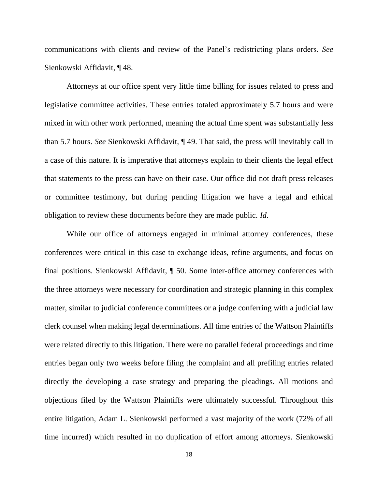communications with clients and review of the Panel's redistricting plans orders. *See*  Sienkowski Affidavit, ¶ 48.

Attorneys at our office spent very little time billing for issues related to press and legislative committee activities. These entries totaled approximately 5.7 hours and were mixed in with other work performed, meaning the actual time spent was substantially less than 5.7 hours. *See* Sienkowski Affidavit, ¶ 49. That said, the press will inevitably call in a case of this nature. It is imperative that attorneys explain to their clients the legal effect that statements to the press can have on their case. Our office did not draft press releases or committee testimony, but during pending litigation we have a legal and ethical obligation to review these documents before they are made public. *Id*.

While our office of attorneys engaged in minimal attorney conferences, these conferences were critical in this case to exchange ideas, refine arguments, and focus on final positions. Sienkowski Affidavit, ¶ 50. Some inter-office attorney conferences with the three attorneys were necessary for coordination and strategic planning in this complex matter, similar to judicial conference committees or a judge conferring with a judicial law clerk counsel when making legal determinations. All time entries of the Wattson Plaintiffs were related directly to this litigation. There were no parallel federal proceedings and time entries began only two weeks before filing the complaint and all prefiling entries related directly the developing a case strategy and preparing the pleadings. All motions and objections filed by the Wattson Plaintiffs were ultimately successful. Throughout this entire litigation, Adam L. Sienkowski performed a vast majority of the work (72% of all time incurred) which resulted in no duplication of effort among attorneys. Sienkowski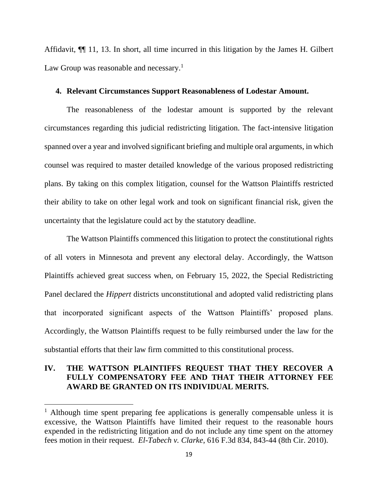Affidavit, ¶¶ 11, 13. In short, all time incurred in this litigation by the James H. Gilbert Law Group was reasonable and necessary.<sup>1</sup>

### **4. Relevant Circumstances Support Reasonableness of Lodestar Amount.**

The reasonableness of the lodestar amount is supported by the relevant circumstances regarding this judicial redistricting litigation. The fact-intensive litigation spanned over a year and involved significant briefing and multiple oral arguments, in which counsel was required to master detailed knowledge of the various proposed redistricting plans. By taking on this complex litigation, counsel for the Wattson Plaintiffs restricted their ability to take on other legal work and took on significant financial risk, given the uncertainty that the legislature could act by the statutory deadline.

The Wattson Plaintiffs commenced this litigation to protect the constitutional rights of all voters in Minnesota and prevent any electoral delay. Accordingly, the Wattson Plaintiffs achieved great success when, on February 15, 2022, the Special Redistricting Panel declared the *Hippert* districts unconstitutional and adopted valid redistricting plans that incorporated significant aspects of the Wattson Plaintiffs' proposed plans. Accordingly, the Wattson Plaintiffs request to be fully reimbursed under the law for the substantial efforts that their law firm committed to this constitutional process.

# **IV. THE WATTSON PLAINTIFFS REQUEST THAT THEY RECOVER A FULLY COMPENSATORY FEE AND THAT THEIR ATTORNEY FEE AWARD BE GRANTED ON ITS INDIVIDUAL MERITS.**

<sup>&</sup>lt;sup>1</sup> Although time spent preparing fee applications is generally compensable unless it is excessive, the Wattson Plaintiffs have limited their request to the reasonable hours expended in the redistricting litigation and do not include any time spent on the attorney fees motion in their request. *El-Tabech v. Clarke*, 616 F.3d 834, 843-44 (8th Cir. 2010).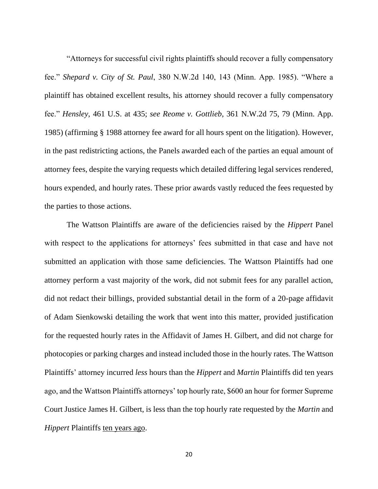"Attorneys for successful civil rights plaintiffs should recover a fully compensatory fee." *Shepard v. City of St. Paul*, 380 N.W.2d 140, 143 (Minn. App. 1985). "Where a plaintiff has obtained excellent results, his attorney should recover a fully compensatory fee." *Hensley*, 461 U.S. at 435; *see Reome v. Gottlieb*, 361 N.W.2d 75, 79 (Minn. App. 1985) (affirming § 1988 attorney fee award for all hours spent on the litigation). However, in the past redistricting actions, the Panels awarded each of the parties an equal amount of attorney fees, despite the varying requests which detailed differing legal services rendered, hours expended, and hourly rates. These prior awards vastly reduced the fees requested by the parties to those actions.

The Wattson Plaintiffs are aware of the deficiencies raised by the *Hippert* Panel with respect to the applications for attorneys' fees submitted in that case and have not submitted an application with those same deficiencies. The Wattson Plaintiffs had one attorney perform a vast majority of the work, did not submit fees for any parallel action, did not redact their billings, provided substantial detail in the form of a 20-page affidavit of Adam Sienkowski detailing the work that went into this matter, provided justification for the requested hourly rates in the Affidavit of James H. Gilbert, and did not charge for photocopies or parking charges and instead included those in the hourly rates. The Wattson Plaintiffs' attorney incurred *less* hours than the *Hippert* and *Martin* Plaintiffs did ten years ago, and the Wattson Plaintiffs attorneys' top hourly rate, \$600 an hour for former Supreme Court Justice James H. Gilbert, is less than the top hourly rate requested by the *Martin* and *Hippert* Plaintiffs ten years ago.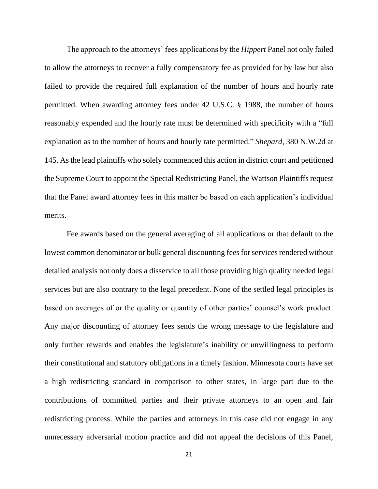The approach to the attorneys' fees applications by the *Hippert* Panel not only failed to allow the attorneys to recover a fully compensatory fee as provided for by law but also failed to provide the required full explanation of the number of hours and hourly rate permitted. When awarding attorney fees under 42 U.S.C. § 1988, the number of hours reasonably expended and the hourly rate must be determined with specificity with a "full explanation as to the number of hours and hourly rate permitted." *Shepard*, 380 N.W.2d at 145. As the lead plaintiffs who solely commenced this action in district court and petitioned the Supreme Court to appoint the Special Redistricting Panel, the Wattson Plaintiffs request that the Panel award attorney fees in this matter be based on each application's individual merits.

Fee awards based on the general averaging of all applications or that default to the lowest common denominator or bulk general discounting fees for services rendered without detailed analysis not only does a disservice to all those providing high quality needed legal services but are also contrary to the legal precedent. None of the settled legal principles is based on averages of or the quality or quantity of other parties' counsel's work product. Any major discounting of attorney fees sends the wrong message to the legislature and only further rewards and enables the legislature's inability or unwillingness to perform their constitutional and statutory obligations in a timely fashion. Minnesota courts have set a high redistricting standard in comparison to other states, in large part due to the contributions of committed parties and their private attorneys to an open and fair redistricting process. While the parties and attorneys in this case did not engage in any unnecessary adversarial motion practice and did not appeal the decisions of this Panel,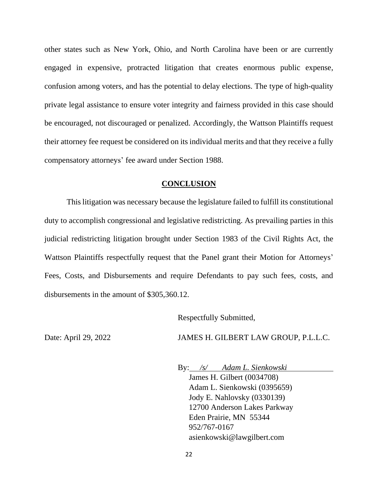other states such as New York, Ohio, and North Carolina have been or are currently engaged in expensive, protracted litigation that creates enormous public expense, confusion among voters, and has the potential to delay elections. The type of high-quality private legal assistance to ensure voter integrity and fairness provided in this case should be encouraged, not discouraged or penalized. Accordingly, the Wattson Plaintiffs request their attorney fee request be considered on its individual merits and that they receive a fully compensatory attorneys' fee award under Section 1988.

### **CONCLUSION**

This litigation was necessary because the legislature failed to fulfill its constitutional duty to accomplish congressional and legislative redistricting. As prevailing parties in this judicial redistricting litigation brought under Section 1983 of the Civil Rights Act, the Wattson Plaintiffs respectfully request that the Panel grant their Motion for Attorneys' Fees, Costs, and Disbursements and require Defendants to pay such fees, costs, and disbursements in the amount of \$305,360.12.

Respectfully Submitted,

Date: April 29, 2022 JAMES H. GILBERT LAW GROUP, P.L.L.C.

By: */s/ Adam L. Sienkowski*

James H. Gilbert (0034708) Adam L. Sienkowski (0395659) Jody E. Nahlovsky (0330139) 12700 Anderson Lakes Parkway Eden Prairie, MN 55344 952/767-0167 asienkowski@lawgilbert.com